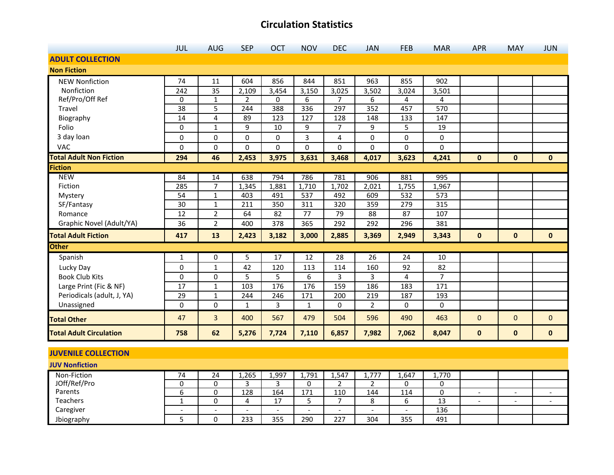|                                | <b>JUL</b>      | <b>AUG</b>     | <b>SEP</b>     | <b>OCT</b> | <b>NOV</b>       | <b>DEC</b>     | <b>JAN</b>     | <b>FEB</b>       | <b>MAR</b>     | <b>APR</b>   | <b>MAY</b>   | <b>JUN</b>   |
|--------------------------------|-----------------|----------------|----------------|------------|------------------|----------------|----------------|------------------|----------------|--------------|--------------|--------------|
| <b>ADULT COLLECTION</b>        |                 |                |                |            |                  |                |                |                  |                |              |              |              |
| <b>Non Fiction</b>             |                 |                |                |            |                  |                |                |                  |                |              |              |              |
| <b>NEW Nonfiction</b>          | 74              | 11             | 604            | 856        | 844              | 851            | 963            | 855              | 902            |              |              |              |
| Nonfiction                     | 242             | 35             | 2,109          | 3,454      | 3,150            | 3,025          | 3,502          | 3,024            | 3,501          |              |              |              |
| Ref/Pro/Off Ref                | $\mathbf 0$     | $\mathbf{1}$   | $\overline{2}$ | 0          | 6                | 7              | 6              | 4                | 4              |              |              |              |
| Travel                         | 38              | 5              | 244            | 388        | 336              | 297            | 352            | 457              | 570            |              |              |              |
| Biography                      | 14              | 4              | 89             | 123        | 127              | 128            | 148            | 133              | 147            |              |              |              |
| Folio                          | 0               | $\mathbf{1}$   | 9              | 10         | 9                | $\overline{7}$ | 9              | 5                | 19             |              |              |              |
| 3 day loan                     | 0               | 0              | $\Omega$       | $\Omega$   | 3                | 4              | 0              | $\Omega$         | $\mathbf 0$    |              |              |              |
| <b>VAC</b>                     | 0               | 0              | 0              | 0          | 0                | 0              | 0              | $\mathbf 0$      | 0              |              |              |              |
| <b>Total Adult Non Fiction</b> | 294             | 46             | 2,453          | 3,975      | 3,631            | 3,468          | 4,017          | 3,623            | 4,241          | $\mathbf{0}$ | $\mathbf{0}$ | $\mathbf{0}$ |
| <b>Fiction</b>                 |                 |                |                |            |                  |                |                |                  |                |              |              |              |
| <b>NEW</b>                     | 84              | 14             | 638            | 794        | 786              | 781            | 906            | 881              | 995            |              |              |              |
| Fiction                        | 285             | $\overline{7}$ | 1,345          | 1,881      | 1,710            | 1,702          | 2,021          | 1,755            | 1,967          |              |              |              |
| Mystery                        | $\overline{54}$ | $\mathbf{1}$   | 403            | 491        | $\overline{537}$ | 492            | 609            | $\overline{532}$ | 573            |              |              |              |
| SF/Fantasy                     | 30              | $\mathbf{1}$   | 211            | 350        | 311              | 320            | 359            | 279              | 315            |              |              |              |
| Romance                        | 12              | $\overline{2}$ | 64             | 82         | 77               | 79             | 88             | 87               | 107            |              |              |              |
| Graphic Novel (Adult/YA)       | 36              | $\overline{2}$ | 400            | 378        | 365              | 292            | 292            | 296              | 381            |              |              |              |
| <b>Total Adult Fiction</b>     | 417             | 13             | 2,423          | 3,182      | 3,000            | 2,885          | 3,369          | 2,949            | 3,343          | $\mathbf{0}$ | $\mathbf{0}$ | $\mathbf{0}$ |
| <b>Other</b>                   |                 |                |                |            |                  |                |                |                  |                |              |              |              |
| Spanish                        | 1               | $\mathbf{0}$   | 5              | 17         | 12               | 28             | 26             | 24               | 10             |              |              |              |
| Lucky Day                      | 0               | $1\,$          | 42             | 120        | 113              | 114            | 160            | 92               | 82             |              |              |              |
| <b>Book Club Kits</b>          | 0               | $\mathbf 0$    | 5              | 5          | 6                | 3              | 3              | 4                | $\overline{7}$ |              |              |              |
| Large Print (Fic & NF)         | 17              | $\mathbf{1}$   | 103            | 176        | 176              | 159            | 186            | 183              | 171            |              |              |              |
| Periodicals (adult, J, YA)     | 29              | $\mathbf 1$    | 244            | 246        | 171              | 200            | 219            | 187              | 193            |              |              |              |
| Unassigned                     | $\mathbf 0$     | $\mathbf 0$    | 1              | 3          | 1                | 0              | $\overline{2}$ | $\Omega$         | 0              |              |              |              |
| <b>Total Other</b>             | 47              | $\overline{3}$ | 400            | 567        | 479              | 504            | 596            | 490              | 463            | 0            | $\mathbf{0}$ | $\mathbf{0}$ |
| <b>Total Adult Circulation</b> | 758             | 62             | 5,276          | 7,724      | 7,110            | 6,857          | 7,982          | 7,062            | 8,047          | $\bf{0}$     | $\mathbf 0$  | $\mathbf{0}$ |

#### **JUVENILE COLLECTION**

| <b>JUV Nonfiction</b> |    |                          |                |       |       |                          |       |       |  |  |
|-----------------------|----|--------------------------|----------------|-------|-------|--------------------------|-------|-------|--|--|
| Non-Fiction           | 24 | 1,265                    | 1,997          | 1,791 | 1,547 | 1,777                    | 1,647 | 1,770 |  |  |
| JOff/Ref/Pro          |    |                          |                |       |       |                          |       |       |  |  |
| Parents               |    | 128                      | 164            | 171   | 110   | 144                      | 114   |       |  |  |
| Teachers              |    | 4                        | 17<br><u>.</u> |       |       | ٥                        |       | 13    |  |  |
| Caregiver             |    | $\overline{\phantom{0}}$ |                | -     |       | $\overline{\phantom{0}}$ | -     | 136   |  |  |
| Jbiography            |    | 233                      | 355            | 290   | 227   | 304                      | 355   | 491   |  |  |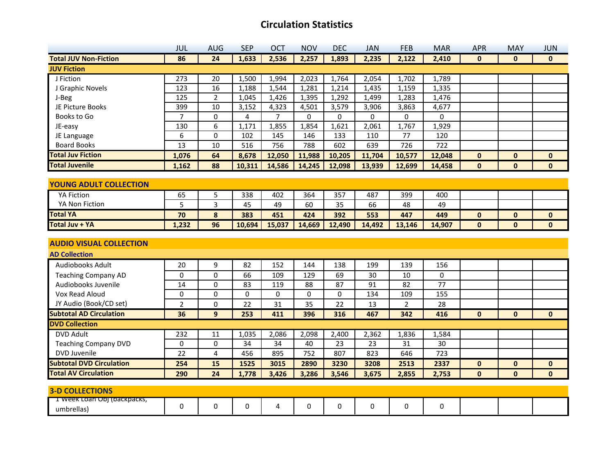|                                 | JUL            | <b>AUG</b>              | <b>SEP</b> | <b>OCT</b> | <b>NOV</b> | <b>DEC</b> | <b>JAN</b> | <b>FEB</b>     | <b>MAR</b> | <b>APR</b>   | <b>MAY</b>   | <b>JUN</b>   |
|---------------------------------|----------------|-------------------------|------------|------------|------------|------------|------------|----------------|------------|--------------|--------------|--------------|
| <b>Total JUV Non-Fiction</b>    | 86             | 24                      | 1,633      | 2,536      | 2,257      | 1,893      | 2,235      | 2,122          | 2,410      | $\mathbf{0}$ | $\mathbf{0}$ | $\mathbf{0}$ |
| <b>JUV Fiction</b>              |                |                         |            |            |            |            |            |                |            |              |              |              |
| J Fiction                       | 273            | 20                      | 1,500      | 1,994      | 2,023      | 1,764      | 2,054      | 1,702          | 1,789      |              |              |              |
| J Graphic Novels                | 123            | 16                      | 1,188      | 1,544      | 1,281      | 1,214      | 1,435      | 1,159          | 1,335      |              |              |              |
| J-Beg                           | 125            | $\overline{2}$          | 1,045      | 1,426      | 1,395      | 1,292      | 1,499      | 1,283          | 1,476      |              |              |              |
| JE Picture Books                | 399            | 10                      | 3,152      | 4,323      | 4,501      | 3,579      | 3,906      | 3,863          | 4,677      |              |              |              |
| Books to Go                     | $\overline{7}$ | 0                       | 4          | 7          | 0          | 0          | 0          | 0              | $\pmb{0}$  |              |              |              |
| JE-easy                         | 130            | 6                       | 1,171      | 1,855      | 1,854      | 1,621      | 2,061      | 1,767          | 1,929      |              |              |              |
| JE Language                     | 6              | 0                       | 102        | 145        | 146        | 133        | 110        | 77             | 120        |              |              |              |
| <b>Board Books</b>              | 13             | 10                      | 516        | 756        | 788        | 602        | 639        | 726            | 722        |              |              |              |
| <b>Total Juv Fiction</b>        | 1,076          | 64                      | 8,678      | 12,050     | 11,988     | 10,205     | 11,704     | 10,577         | 12,048     | $\mathbf{0}$ | $\mathbf{0}$ | $\mathbf{0}$ |
| <b>Total Juvenile</b>           | 1,162          | 88                      | 10,311     | 14,586     | 14,245     | 12,098     | 13,939     | 12,699         | 14,458     | $\mathbf{0}$ | $\mathbf{0}$ | $\bf{0}$     |
|                                 |                |                         |            |            |            |            |            |                |            |              |              |              |
| <b>YOUNG ADULT COLLECTION</b>   |                |                         |            |            |            |            |            |                |            |              |              |              |
| <b>YA Fiction</b>               | 65             | 5                       | 338        | 402        | 364        | 357        | 487        | 399            | 400        |              |              |              |
| YA Non Fiction                  | 5              | 3                       | 45         | 49         | 60         | 35         | 66         | 48             | 49         |              |              |              |
| <b>Total YA</b>                 | 70             | 8                       | 383        | 451        | 424        | 392        | 553        | 447            | 449        | $\mathbf{0}$ | $\mathbf 0$  | $\mathbf 0$  |
| Total Juv + YA                  | 1,232          | 96                      | 10,694     | 15,037     | 14,669     | 12,490     | 14,492     | 13,146         | 14,907     | $\mathbf{0}$ | $\mathbf 0$  | $\mathbf 0$  |
|                                 |                |                         |            |            |            |            |            |                |            |              |              |              |
| <b>AUDIO VISUAL COLLECTION</b>  |                |                         |            |            |            |            |            |                |            |              |              |              |
| <b>AD Collection</b>            |                |                         |            |            |            |            |            |                |            |              |              |              |
| <b>Audiobooks Adult</b>         | 20             | 9                       | 82         | 152        | 144        | 138        | 199        | 139            | 156        |              |              |              |
| <b>Teaching Company AD</b>      | 0              | 0                       | 66         | 109        | 129        | 69         | 30         | 10             | 0          |              |              |              |
| Audiobooks Juvenile             | 14             | 0                       | 83         | 119        | 88         | 87         | 91         | 82             | 77         |              |              |              |
| Vox Read Aloud                  | 0              | 0                       | 0          | 0          | 0          | 0          | 134        | 109            | 155        |              |              |              |
| JY Audio (Book/CD set)          | $\overline{2}$ | 0                       | 22         | 31         | 35         | 22         | 13         | $\overline{2}$ | 28         |              |              |              |
| <b>Subtotal AD Circulation</b>  | 36             | $\overline{9}$          | 253        | 411        | 396        | 316        | 467        | 342            | 416        | $\mathbf 0$  | $\mathbf{0}$ | $\bf{0}$     |
| <b>DVD Collection</b>           |                |                         |            |            |            |            |            |                |            |              |              |              |
| <b>DVD Adult</b>                | 232            | 11                      | 1,035      | 2,086      | 2,098      | 2,400      | 2,362      | 1,836          | 1,584      |              |              |              |
| <b>Teaching Company DVD</b>     | 0              | 0                       | 34         | 34         | 40         | 23         | 23         | 31             | 30         |              |              |              |
| DVD Juvenile                    | 22             | $\overline{\mathbf{4}}$ | 456        | 895        | 752        | 807        | 823        | 646            | 723        |              |              |              |
| <b>Subtotal DVD Circulation</b> | 254            | 15                      | 1525       | 3015       | 2890       | 3230       | 3208       | 2513           | 2337       | $\mathbf{0}$ | $\mathbf{0}$ | $\mathbf{0}$ |
| <b>Total AV Circulation</b>     | 290            | 24                      | 1,778      | 3,426      | 3,286      | 3,546      | 3,675      | 2,855          | 2,753      | $\mathbf{0}$ | $\mathbf{0}$ | $\mathbf{0}$ |
|                                 |                |                         |            |            |            |            |            |                |            |              |              |              |
| <b>3-D COLLECTIONS</b>          |                |                         |            |            |            |            |            |                |            |              |              |              |
| I week Loan Obj (backpacks,     | 0              | 0                       | $\Omega$   | 4          | 0          | $\Omega$   | $\Omega$   | 0              | 0          |              |              |              |
| umbrellas)                      |                |                         |            |            |            |            |            |                |            |              |              |              |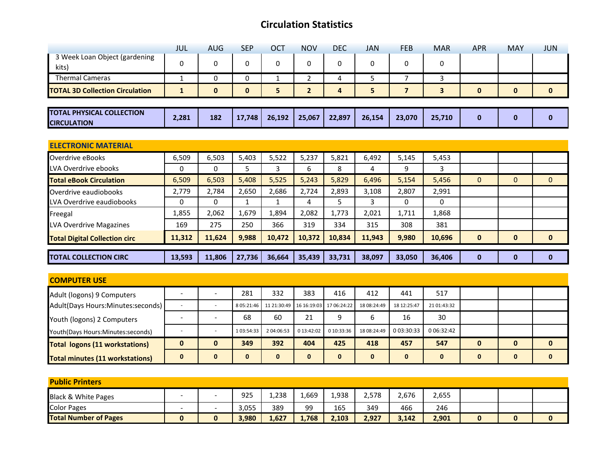|                                                        | <b>JUL</b>   | <b>AUG</b>   | <b>SEP</b>   | OCT          | <b>NOV</b>     | <b>DEC</b> | <b>JAN</b> | <b>FEB</b>     | <b>MAR</b> | <b>APR</b>   | <b>MAY</b>   | <b>JUN</b>   |
|--------------------------------------------------------|--------------|--------------|--------------|--------------|----------------|------------|------------|----------------|------------|--------------|--------------|--------------|
| 3 Week Loan Object (gardening<br>kits)                 | 0            | 0            | 0            | 0            | 0              | 0          | 0          | 0              | 0          |              |              |              |
| <b>Thermal Cameras</b>                                 | $\mathbf{1}$ | $\mathbf{0}$ | $\Omega$     | $\mathbf{1}$ | 2              | 4          | 5          | $\overline{7}$ | 3          |              |              |              |
| <b>TOTAL 3D Collection Circulation</b>                 | $\mathbf{1}$ | $\mathbf{0}$ | $\mathbf{0}$ | 5            | $\overline{2}$ | 4          | 5          | $\overline{7}$ | 3          | $\mathbf{0}$ | $\mathbf 0$  | $\mathbf{0}$ |
|                                                        |              |              |              |              |                |            |            |                |            |              |              |              |
| <b>TOTAL PHYSICAL COLLECTION</b><br><b>CIRCULATION</b> | 2,281        | 182          | 17,748       | 26,192       | 25,067         | 22,897     | 26,154     | 23,070         | 25,710     | $\bf{0}$     | $\bf{0}$     | $\mathbf 0$  |
|                                                        |              |              |              |              |                |            |            |                |            |              |              |              |
| <b>ELECTRONIC MATERIAL</b>                             |              |              |              |              |                |            |            |                |            |              |              |              |
| Overdrive eBooks                                       | 6,509        | 6,503        | 5,403        | 5,522        | 5,237          | 5,821      | 6,492      | 5,145          | 5,453      |              |              |              |
| LVA Overdrive ebooks                                   | 0            | 0            | 5            | 3            | 6              | 8          | 4          | 9              | 3          |              |              |              |
| <b>Total eBook Circulation</b>                         | 6,509        | 6,503        | 5,408        | 5,525        | 5,243          | 5,829      | 6,496      | 5,154          | 5,456      | $\Omega$     | $\mathbf{0}$ | $\mathbf{0}$ |
| Overdrive eaudiobooks                                  | 2,779        | 2,784        | 2,650        | 2,686        | 2,724          | 2,893      | 3,108      | 2,807          | 2,991      |              |              |              |
| LVA Overdrive eaudiobooks                              | 0            | $\mathbf{0}$ | 1            | $\mathbf{1}$ | 4              | 5          | 3          | 0              | 0          |              |              |              |
| Freegal                                                | 1,855        | 2,062        | 1,679        | 1,894        | 2,082          | 1,773      | 2,021      | 1,711          | 1,868      |              |              |              |
| LVA Overdrive Magazines                                | 169          | 275          | 250          | 366          | 319            | 334        | 315        | 308            | 381        |              |              |              |
| <b>Total Digital Collection circ</b>                   | 11,312       | 11,624       | 9,988        | 10,472       | 10,372         | 10,834     | 11,943     | 9,980          | 10,696     | $\mathbf{0}$ | $\mathbf 0$  | $\mathbf{0}$ |
| <b>TOTAL COLLECTION CIRC</b>                           | 13,593       | 11,806       | 27,736       | 36,664       | 35,439         | 33,731     | 38,097     | 33,050         | 36,406     | $\bf{0}$     | $\bf{0}$     | $\bf{0}$     |
|                                                        |              |              |              |              |                |            |            |                |            |              |              |              |
| <b>COMPUTER USE</b>                                    |              |              |              |              |                |            |            |                |            |              |              |              |

| <b>COMPUTER USE</b>                    |              |   |              |                                                |            |            |              |             |             |   |   |          |
|----------------------------------------|--------------|---|--------------|------------------------------------------------|------------|------------|--------------|-------------|-------------|---|---|----------|
| Adult (logons) 9 Computers             |              |   | 281          | 332                                            | 383        | 416        | 412          | 441         | 517         |   |   |          |
| Adult(Days Hours:Minutes:seconds)      |              |   |              | 8 05:21:46 11 21:30:49 16 16:19:03 17 06:24:22 |            |            | 18 08:24:49  | 18 12:25:47 | 21 01:43:32 |   |   |          |
| Youth (logons) 2 Computers             |              |   | 68           | 60                                             | 21         | Q          | ь            | 16          | 30          |   |   |          |
| Youth(Days Hours:Minutes:seconds)      |              |   | 1 03:54:33   | 2 04:06:53                                     | 0 13:42:02 | 0 10:33:36 | 18 08:24:49  | 0 03:30:33  | 0 06:32:42  |   |   |          |
| <b>Total logons (11 workstations)</b>  | $\mathbf{0}$ | 0 | 349          | 392                                            | 404        | 425        | 418          | 457         | 547         | 0 | 0 | $\bf{0}$ |
| <b>Total minutes (11 workstations)</b> | 0            | 0 | $\mathbf{0}$ |                                                | 0          | 0          | $\mathbf{0}$ | 0           |             | 0 | 0 | 0        |

| <b>Public Printers</b>         |  |   |       |       |       |       |       |       |       |  |  |  |  |
|--------------------------------|--|---|-------|-------|-------|-------|-------|-------|-------|--|--|--|--|
| <b>Black &amp; White Pages</b> |  |   | 925   | 1.238 | 1,669 | 1,938 | 2,578 | 2,676 | 2,655 |  |  |  |  |
| <b>Color Pages</b>             |  |   | 3,055 | 389   | 99    | 165   | 349   | 466   | 246   |  |  |  |  |
| <b>Total Number of Pages</b>   |  | 0 | 3,980 | 1,627 | 1.768 | 2,103 | 2,927 | 3,142 | 2,901 |  |  |  |  |